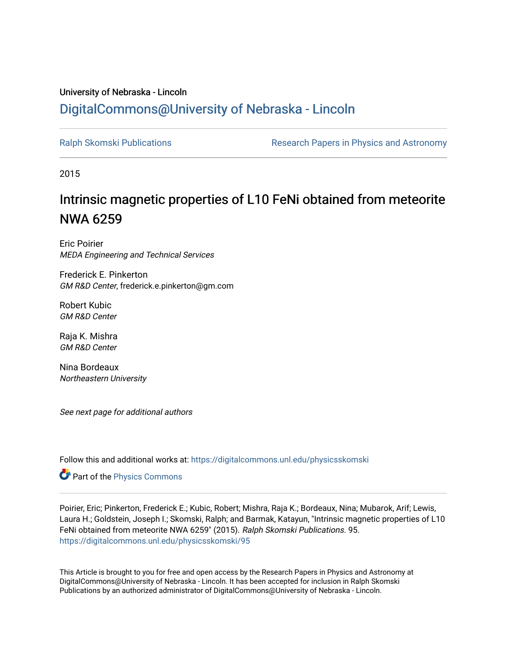## University of Nebraska - Lincoln [DigitalCommons@University of Nebraska - Lincoln](https://digitalcommons.unl.edu/)

[Ralph Skomski Publications](https://digitalcommons.unl.edu/physicsskomski) The Research Papers in Physics and Astronomy

2015

## Intrinsic magnetic properties of L10 FeNi obtained from meteorite NWA 6259

Eric Poirier MEDA Engineering and Technical Services

Frederick E. Pinkerton GM R&D Center, frederick.e.pinkerton@gm.com

Robert Kubic GM R&D Center

Raja K. Mishra GM R&D Center

Nina Bordeaux Northeastern University

See next page for additional authors

Follow this and additional works at: [https://digitalcommons.unl.edu/physicsskomski](https://digitalcommons.unl.edu/physicsskomski?utm_source=digitalcommons.unl.edu%2Fphysicsskomski%2F95&utm_medium=PDF&utm_campaign=PDFCoverPages) 

Part of the [Physics Commons](http://network.bepress.com/hgg/discipline/193?utm_source=digitalcommons.unl.edu%2Fphysicsskomski%2F95&utm_medium=PDF&utm_campaign=PDFCoverPages)

Poirier, Eric; Pinkerton, Frederick E.; Kubic, Robert; Mishra, Raja K.; Bordeaux, Nina; Mubarok, Arif; Lewis, Laura H.; Goldstein, Joseph I.; Skomski, Ralph; and Barmak, Katayun, "Intrinsic magnetic properties of L10 FeNi obtained from meteorite NWA 6259" (2015). Ralph Skomski Publications. 95. [https://digitalcommons.unl.edu/physicsskomski/95](https://digitalcommons.unl.edu/physicsskomski/95?utm_source=digitalcommons.unl.edu%2Fphysicsskomski%2F95&utm_medium=PDF&utm_campaign=PDFCoverPages)

This Article is brought to you for free and open access by the Research Papers in Physics and Astronomy at DigitalCommons@University of Nebraska - Lincoln. It has been accepted for inclusion in Ralph Skomski Publications by an authorized administrator of DigitalCommons@University of Nebraska - Lincoln.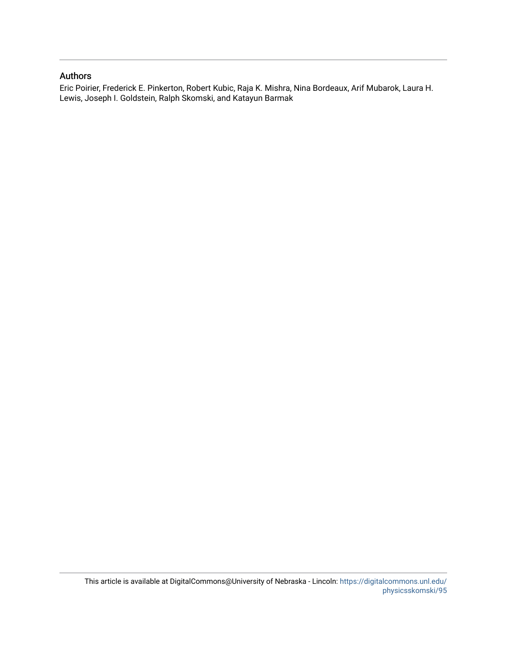## Authors

Eric Poirier, Frederick E. Pinkerton, Robert Kubic, Raja K. Mishra, Nina Bordeaux, Arif Mubarok, Laura H. Lewis, Joseph I. Goldstein, Ralph Skomski, and Katayun Barmak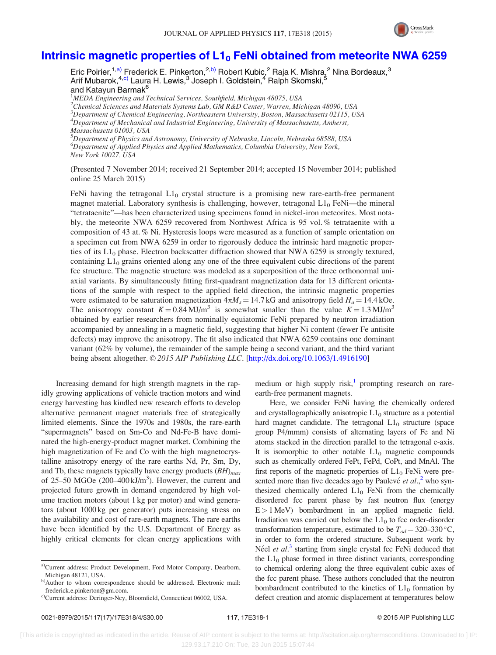

## Intrinsic magnetic properties of  $L1_0$  [FeNi obtained from meteorite NWA 6259](http://dx.doi.org/10.1063/1.4916190)

Eric Poirier,<sup>1,a)</sup> Frederick E. Pinkerton,<sup>2,b)</sup> Robert Kubic,<sup>2</sup> Raja K. Mishra,<sup>2</sup> Nina Bordeaux,<sup>3</sup> Arif Mubarok,<sup>4,c)</sup> Laura H. Lewis,<sup>3</sup> Joseph I. Goldstein,<sup>4</sup> Ralph Skomski,<sup>5</sup> and Katayun Barmak<sup>6</sup>

<sup>1</sup>MEDA Engineering and Technical Services, Southfield, Michigan 48075, USA  $^2$ Chemical Sciences and Materials Systems Lab, GM R&D Center, Warren, Michigan 48090, USA 3 Department of Chemical Engineering, Northeastern University, Boston, Massachusetts 02115, USA <sup>4</sup>Department of Mechanical and Industrial Engineering, University of Massachusetts, Amherst, Massachusetts 01003, USA

<sup>5</sup>Department of Physics and Astronomy, University of Nebraska, Lincoln, Nebraska 68588, USA 6 Department of Applied Physics and Applied Mathematics, Columbia University, New York, New York 10027, USA

(Presented 7 November 2014; received 21 September 2014; accepted 15 November 2014; published online 25 March 2015)

FeNi having the tetragonal  $L1_0$  crystal structure is a promising new rare-earth-free permanent magnet material. Laboratory synthesis is challenging, however, tetragonal  $L1_0$  FeNi—the mineral "tetrataenite"—has been characterized using specimens found in nickel-iron meteorites. Most notably, the meteorite NWA 6259 recovered from Northwest Africa is 95 vol. % tetrataenite with a composition of 43 at. % Ni. Hysteresis loops were measured as a function of sample orientation on a specimen cut from NWA 6259 in order to rigorously deduce the intrinsic hard magnetic properties of its  $L1_0$  phase. Electron backscatter diffraction showed that NWA 6259 is strongly textured, containing  $L1_0$  grains oriented along any one of the three equivalent cubic directions of the parent fcc structure. The magnetic structure was modeled as a superposition of the three orthonormal uniaxial variants. By simultaneously fitting first-quadrant magnetization data for 13 different orientations of the sample with respect to the applied field direction, the intrinsic magnetic properties were estimated to be saturation magnetization  $4\pi M_s = 14.7 \text{ kG}$  and anisotropy field  $H_a = 14.4 \text{ kOe}$ . The anisotropy constant  $K = 0.84 \text{ MJ/m}^3$  is somewhat smaller than the value  $K = 1.3 \text{ MJ/m}^3$ obtained by earlier researchers from nominally equiatomic FeNi prepared by neutron irradiation accompanied by annealing in a magnetic field, suggesting that higher Ni content (fewer Fe antisite defects) may improve the anisotropy. The fit also indicated that NWA 6259 contains one dominant variant (62% by volume), the remainder of the sample being a second variant, and the third variant being absent altogether. © 2015 AIP Publishing LLC. [\[http://dx.doi.org/10.1063/1.4916190](http://dx.doi.org/10.1063/1.4916190)]

Increasing demand for high strength magnets in the rapidly growing applications of vehicle traction motors and wind energy harvesting has kindled new research efforts to develop alternative permanent magnet materials free of strategically limited elements. Since the 1970s and 1980s, the rare-earth "supermagnets" based on Sm-Co and Nd-Fe-B have dominated the high-energy-product magnet market. Combining the high magnetization of Fe and Co with the high magnetocrystalline anisotropy energy of the rare earths Nd, Pr, Sm, Dy, and Tb, these magnets typically have energy products  $(BH)_{max}$ of 25–50 MGOe  $(200-400 \text{ kJ/m}^3)$ . However, the current and projected future growth in demand engendered by high volume traction motors (about 1 kg per motor) and wind generators (about 1000 kg per generator) puts increasing stress on the availability and cost of rare-earth magnets. The rare earths have been identified by the U.S. Department of Energy as highly critical elements for clean energy applications with

medium or high supply risk, $\frac{1}{2}$  $\frac{1}{2}$  $\frac{1}{2}$  prompting research on rareearth-free permanent magnets.

Here, we consider FeNi having the chemically ordered and crystallographically anisotropic  $L1_0$  structure as a potential hard magnet candidate. The tetragonal  $L1_0$  structure (space group P4/mmm) consists of alternating layers of Fe and Ni atoms stacked in the direction parallel to the tetragonal c-axis. It is isomorphic to other notable  $L1_0$  magnetic compounds such as chemically ordered FePt, FePd, CoPt, and MnAl. The first reports of the magnetic properties of  $L1_0$  FeNi were presented more than five decades ago by Paulevé et  $al$ ,<sup>[2](#page-5-0)</sup> who synthesized chemically ordered  $L1_0$  FeNi from the chemically disordered fcc parent phase by fast neutron flux (energy  $E > 1$  MeV) bombardment in an applied magnetic field. Irradiation was carried out below the  $L1_0$  to fcc order-disorder transformation temperature, estimated to be  $T_{od} = 320-330$  °C, in order to form the ordered structure. Subsequent work by Néel et al.<sup>[3](#page-5-0)</sup> starting from single crystal fcc FeNi deduced that the  $L1_0$  phase formed in three distinct variants, corresponding to chemical ordering along the three equivalent cubic axes of the fcc parent phase. These authors concluded that the neutron bombardment contributed to the kinetics of  $L1_0$  formation by defect creation and atomic displacement at temperatures below

a)Current address: Product Development, Ford Motor Company, Dearborn, Michigan 48121, USA.

b)Author to whom correspondence should be addressed. Electronic mail: [frederick.e.pinkerton@gm.com](mailto:frederick.e.pinkerton@gm.com).

c)Current address: Deringer-Ney, Bloomfield, Connecticut 06002, USA.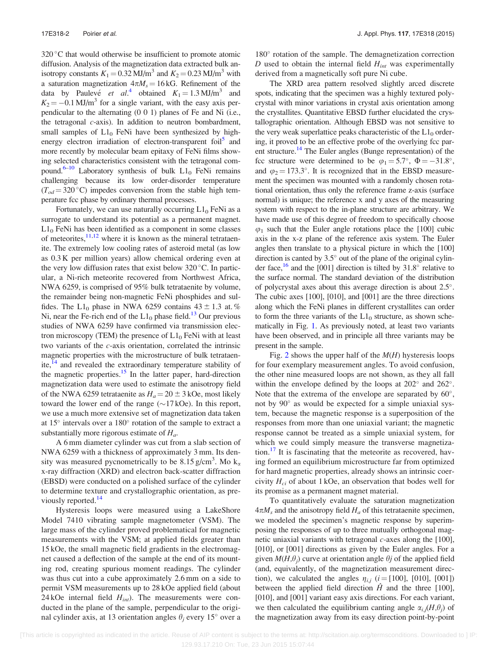320 °C that would otherwise be insufficient to promote atomic diffusion. Analysis of the magnetization data extracted bulk anisotropy constants  $K_1 = 0.32$  MJ/m<sup>3</sup> and  $K_2 = 0.23$  MJ/m<sup>3</sup> with a saturation magnetization  $4\pi M_s = 16$  kG. Refinement of the data by Paulevé *et al*.<sup>[4](#page-5-0)</sup> obtained  $K_1 = 1.3 \text{ MJ/m}^3$  and  $K_2 = -0.1$  MJ/m<sup>3</sup> for a single variant, with the easy axis perpendicular to the alternating (0 0 1) planes of Fe and Ni (i.e., the tetragonal c-axis). In addition to neutron bombardment, small samples of  $L1_0$  FeNi have been synthesized by high-energy electron irradiation of electron-transparent foil<sup>[5](#page-5-0)</sup> and more recently by molecular beam epitaxy of FeNi films showing selected characteristics consistent with the tetragonal com-pound.<sup>6–[10](#page-5-0)</sup> Laboratory synthesis of bulk  $L1_0$  FeNi remains challenging because its low order-disorder temperature  $(T_{od} = 320 \degree C)$  impedes conversion from the stable high temperature fcc phase by ordinary thermal processes.

Fortunately, we can use naturally occurring  $L1_0$  FeNi as a surrogate to understand its potential as a permanent magnet.  $L1_0$  FeNi has been identified as a component in some classes of meteorites,  $11,12$  where it is known as the mineral tetrataenite. The extremely low cooling rates of asteroid metal (as low as 0.3 K per million years) allow chemical ordering even at the very low diffusion rates that exist below  $320^{\circ}$ C. In particular, a Ni-rich meteorite recovered from Northwest Africa, NWA 6259, is comprised of 95% bulk tetrataenite by volume, the remainder being non-magnetic FeNi phosphides and sulfides. The L1<sub>0</sub> phase in NWA 6259 contains  $43 \pm 1.3$  at. % Ni, near the Fe-rich end of the  $L1_0$  phase field.<sup>13</sup> Our previous studies of NWA 6259 have confirmed via transmission electron microscopy (TEM) the presence of  $L1_0$  FeNi with at least two variants of the c-axis orientation, correlated the intrinsic magnetic properties with the microstructure of bulk tetrataenite, $14$  and revealed the extraordinary temperature stability of the magnetic properties. $15$  In the latter paper, hard-direction magnetization data were used to estimate the anisotropy field of the NWA 6259 tetrataenite as  $H_a = 20 \pm 3$  kOe, most likely toward the lower end of the range  $(\sim 17 kOe)$ . In this report, we use a much more extensive set of magnetization data taken at  $15^\circ$  intervals over a  $180^\circ$  rotation of the sample to extract a substantially more rigorous estimate of  $H_a$ .

A 6 mm diameter cylinder was cut from a slab section of NWA 6259 with a thickness of approximately 3 mm. Its density was measured pycnometrically to be 8.15 g/cm<sup>3</sup>. Mo  $k_{\alpha}$ x-ray diffraction (XRD) and electron back-scatter diffraction (EBSD) were conducted on a polished surface of the cylinder to determine texture and crystallographic orientation, as previously reported.<sup>14</sup>

Hysteresis loops were measured using a LakeShore Model 7410 vibrating sample magnetometer (VSM). The large mass of the cylinder proved problematical for magnetic measurements with the VSM; at applied fields greater than 15 kOe, the small magnetic field gradients in the electromagnet caused a deflection of the sample at the end of its mounting rod, creating spurious moment readings. The cylinder was thus cut into a cube approximately 2.6 mm on a side to permit VSM measurements up to 28 kOe applied field (about 24 kOe internal field  $H_{int}$ ). The measurements were conducted in the plane of the sample, perpendicular to the original cylinder axis, at 13 orientation angles  $\theta_j$  every 15<sup>°</sup> over a

180° rotation of the sample. The demagnetization correction D used to obtain the internal field  $H_{int}$  was experimentally derived from a magnetically soft pure Ni cube.

The XRD area pattern resolved slightly arced discrete spots, indicating that the specimen was a highly textured polycrystal with minor variations in crystal axis orientation among the crystallites. Quantitative EBSD further elucidated the crystallographic orientation. Although EBSD was not sensitive to the very weak superlattice peaks characteristic of the  $L1_0$  ordering, it proved to be an effective probe of the overlying fcc par-ent structure.<sup>[14](#page-5-0)</sup> The Euler angles (Bunge representation) of the fcc structure were determined to be  $\varphi_1 = 5.7^\circ$ ,  $\Phi = -31.8^\circ$ , and  $\varphi_2 = 173.3^\circ$ . It is recognized that in the EBSD measurement the specimen was mounted with a randomly chosen rotational orientation, thus only the reference frame z-axis (surface normal) is unique; the reference x and y axes of the measuring system with respect to the in-plane structure are arbitrary. We have made use of this degree of freedom to specifically choose  $\varphi_1$  such that the Euler angle rotations place the [100] cubic axis in the x-z plane of the reference axis system. The Euler angles then translate to a physical picture in which the [100] direction is canted by  $3.5^{\circ}$  out of the plane of the original cylinder face,  $^{16}$  and the [001] direction is tilted by 31.8° relative to the surface normal. The standard deviation of the distribution of polycrystal axes about this average direction is about 2.5°. The cubic axes [100], [010], and [001] are the three directions along which the FeNi planes in different crystallites can order to form the three variants of the  $L1_0$  structure, as shown schematically in Fig. [1](#page-4-0). As previously noted, at least two variants have been observed, and in principle all three variants may be present in the sample.

Fig. [2](#page-4-0) shows the upper half of the  $M(H)$  hysteresis loops for four exemplary measurement angles. To avoid confusion, the other nine measured loops are not shown, as they all fall within the envelope defined by the loops at  $202^{\circ}$  and  $262^{\circ}$ . Note that the extrema of the envelope are separated by  $60^\circ$ , not by 90° as would be expected for a simple uniaxial system, because the magnetic response is a superposition of the responses from more than one uniaxial variant; the magnetic response cannot be treated as a simple uniaxial system, for which we could simply measure the transverse magnetization. $17$  It is fascinating that the meteorite as recovered, having formed an equilibrium microstructure far from optimized for hard magnetic properties, already shows an intrinsic coercivity  $H_{ci}$  of about 1 kOe, an observation that bodes well for its promise as a permanent magnet material.

To quantitatively evaluate the saturation magnetization  $4\pi M_s$  and the anisotropy field  $H_a$  of this tetrataenite specimen, we modeled the specimen's magnetic response by superimposing the responses of up to three mutually orthogonal magnetic uniaxial variants with tetragonal  $c$ -axes along the [100], [010], or [001] directions as given by the Euler angles. For a given  $M(H,\theta_i)$  curve at orientation angle  $\theta_i$  of the applied field (and, equivalently, of the magnetization measurement direction), we calculated the angles  $\eta_{i,j}$  (*i* = [100], [010], [001]) between the applied field direction  $\hat{H}$  and the three [100], [010], and [001] variant easy axis directions. For each variant, we then calculated the equilibrium canting angle  $\alpha_{i,j}(H,\theta_i)$  of the magnetization away from its easy direction point-by-point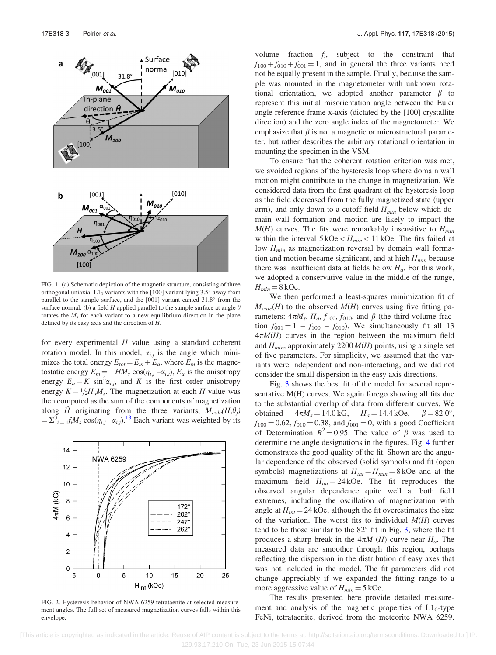<span id="page-4-0"></span>

FIG. 1. (a) Schematic depiction of the magnetic structure, consisting of three orthogonal uniaxial  $L1_0$  variants with the [100] variant lying 3.5 $^{\circ}$  away from parallel to the sample surface, and the  $[001]$  variant canted  $31.8^\circ$  from the surface normal; (b) a field H applied parallel to the sample surface at angle  $\theta$ rotates the  $M<sub>s</sub>$  for each variant to a new equilibrium direction in the plane defined by its easy axis and the direction of H.

for every experimental  $H$  value using a standard coherent rotation model. In this model,  $\alpha_{i,j}$  is the angle which minimizes the total energy  $E_{tot} = E_m + E_a$ , where  $E_m$  is the magnetostatic energy  $E_m = -HM_s \cos(\eta_{i,j} - \alpha_{i,j}), E_a$  is the anisotropy energy  $E_a = K \sin^2 \alpha_{i,j}$ , and K is the first order anisotropy energy  $K = 1/2H_aM_s$ . The magnetization at each H value was then computed as the sum of the components of magnetization along  $\hat{H}$  originating from the three variants,  $M_{calc}(H, \theta_j)$  $= \sum_{i=1}^{3} f_i M_s \cos(\eta_{i,j} - \alpha_{i,j})$ .<sup>[18](#page-5-0)</sup> Each variant was weighted by its



FIG. 2. Hysteresis behavior of NWA 6259 tetrataenite at selected measurement angles. The full set of measured magnetization curves falls within this envelope.

volume fraction  $f_i$ , subject to the constraint that  $f_{100} + f_{010} + f_{001} = 1$ , and in general the three variants need not be equally present in the sample. Finally, because the sample was mounted in the magnetometer with unknown rotational orientation, we adopted another parameter  $\beta$  to represent this initial misorientation angle between the Euler angle reference frame x-axis (dictated by the [100] crystallite direction) and the zero angle index of the magnetometer. We emphasize that  $\beta$  is not a magnetic or microstructural parameter, but rather describes the arbitrary rotational orientation in mounting the specimen in the VSM.

To ensure that the coherent rotation criterion was met, we avoided regions of the hysteresis loop where domain wall motion might contribute to the change in magnetization. We considered data from the first quadrant of the hysteresis loop as the field decreased from the fully magnetized state (upper arm), and only down to a cutoff field  $H_{min}$  below which domain wall formation and motion are likely to impact the  $M(H)$  curves. The fits were remarkably insensitive to  $H_{min}$ within the interval  $5 kOe < H_{min} < 11 kOe$ . The fits failed at low  $H_{min}$  as magnetization reversal by domain wall formation and motion became significant, and at high  $H_{min}$  because there was insufficient data at fields below  $H_a$ . For this work, we adopted a conservative value in the middle of the range,  $H_{min} = 8$  kOe.

We then performed a least-squares minimization fit of  $M_{calc}(H)$  to the observed  $M(H)$  curves using five fitting parameters:  $4\pi M_s$ ,  $H_a$ ,  $f_{100}$ ,  $f_{010}$ , and  $\beta$  (the third volume fraction  $f_{001} = 1 - f_{100} - f_{010}$ . We simultaneously fit all 13  $4\pi M(H)$  curves in the region between the maximum field and  $H_{min}$ , approximately 2200  $M(H)$  points, using a single set of five parameters. For simplicity, we assumed that the variants were independent and non-interacting, and we did not consider the small dispersion in the easy axis directions.

Fig. [3](#page-5-0) shows the best fit of the model for several representative M(H) curves. We again forego showing all fits due to the substantial overlap of data from different curves. We obtained  $4\pi M_s = 14.0 \text{ kG}, \quad H_a = 14.4 \text{ kOe}, \quad \beta = 82.0^{\circ},$  $f_{100} = 0.62, f_{010} = 0.38$ , and  $f_{001} = 0$ , with a good Coefficient of Determination  $R^2 = 0.95$ . The value of  $\beta$  was used to determine the angle designations in the figures. Fig. [4](#page-5-0) further demonstrates the good quality of the fit. Shown are the angular dependence of the observed (solid symbols) and fit (open symbols) magnetizations at  $H_{int} = H_{min} = 8$  kOe and at the maximum field  $H_{int} = 24$  kOe. The fit reproduces the observed angular dependence quite well at both field extremes, including the oscillation of magnetization with angle at  $H_{int} = 24$  kOe, although the fit overestimates the size of the variation. The worst fits to individual  $M(H)$  curves tend to be those similar to the  $82^\circ$  fit in Fig. [3](#page-5-0), where the fit produces a sharp break in the  $4\pi M$  (*H*) curve near  $H_a$ . The measured data are smoother through this region, perhaps reflecting the dispersion in the distribution of easy axes that was not included in the model. The fit parameters did not change appreciably if we expanded the fitting range to a more aggressive value of  $H_{min} = 5$  kOe.

The results presented here provide detailed measurement and analysis of the magnetic properties of  $L1_0$ -type FeNi, tetrataenite, derived from the meteorite NWA 6259.